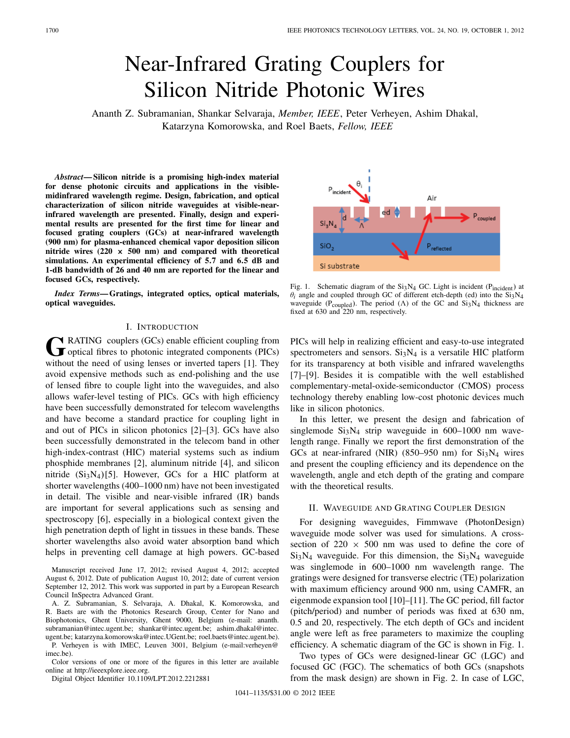# Near-Infrared Grating Couplers for Silicon Nitride Photonic Wires

Ananth Z. Subramanian, Shankar Selvaraja, *Member, IEEE*, Peter Verheyen, Ashim Dhakal, Katarzyna Komorowska, and Roel Baets, *Fellow, IEEE*

*Abstract***— Silicon nitride is a promising high-index material for dense photonic circuits and applications in the visiblemidinfrared wavelength regime. Design, fabrication, and optical characterization of silicon nitride waveguides at visible-nearinfrared wavelength are presented. Finally, design and experimental results are presented for the first time for linear and focused grating couplers (GCs) at near-infrared wavelength (900 nm) for plasma-enhanced chemical vapor deposition silicon nitride wires (220 × 500 nm) and compared with theoretical simulations. An experimental efficiency of 5***.***7 and 6***.***5 dB and 1-dB bandwidth of 26 and 40 nm are reported for the linear and focused GCs, respectively.**

*Index Terms***— Gratings, integrated optics, optical materials, optical waveguides.**

# I. INTRODUCTION

GRATING couplers (GCs) enable efficient coupling from<br>
optical fibres to photonic integrated components (PICs) without the need of using lenses or inverted tapers [1]. They avoid expensive methods such as end-polishing and the use of lensed fibre to couple light into the waveguides, and also allows wafer-level testing of PICs. GCs with high efficiency have been successfully demonstrated for telecom wavelengths and have become a standard practice for coupling light in and out of PICs in silicon photonics [2]–[3]. GCs have also been successfully demonstrated in the telecom band in other high-index-contrast (HIC) material systems such as indium phosphide membranes [2], aluminum nitride [4], and silicon nitride  $(Si_3N_4)[5]$ . However, GCs for a HIC platform at shorter wavelengths (400–1000 nm) have not been investigated in detail. The visible and near-visible infrared (IR) bands are important for several applications such as sensing and spectroscopy [6], especially in a biological context given the high penetration depth of light in tissues in these bands. These shorter wavelengths also avoid water absorption band which helps in preventing cell damage at high powers. GC-based

Manuscript received June 17, 2012; revised August 4, 2012; accepted August 6, 2012. Date of publication August 10, 2012; date of current version September 12, 2012. This work was supported in part by a European Research Council InSpectra Advanced Grant.

A. Z. Subramanian, S. Selvaraja, A. Dhakal, K. Komorowska, and R. Baets are with the Photonics Research Group, Center for Nano and Biophotonics, Ghent University, Ghent 9000, Belgium (e-mail: ananth. subramanian@intec.ugent.be; shankar@intec.ugent.be; ashim.dhakal@intec. ugent.be; katarzyna.komorowska@intec.UGent.be; roel.baets@intec.ugent.be).

P. Verheyen is with IMEC, Leuven 3001, Belgium (e-mail:verheyen@ imec.be).

Color versions of one or more of the figures in this letter are available online at http://ieeexplore.ieee.org.

Digital Object Identifier 10.1109/LPT.2012.2212881

Air ed SiO,  $P_{reflected}$ Si substrate

Fig. 1. Schematic diagram of the  $Si<sub>3</sub>N<sub>4</sub>$  GC. Light is incident (P<sub>incident</sub>) at  $\theta$ *i* angle and coupled through GC of different etch-depth (ed) into the  $Si<sub>3</sub>N<sub>4</sub>$ waveguide (P<sub>coupled</sub>). The period ( $\Lambda$ ) of the GC and Si<sub>3</sub>N<sub>4</sub> thickness are fixed at 630 and 220 nm, respectively.

PICs will help in realizing efficient and easy-to-use integrated spectrometers and sensors.  $Si<sub>3</sub>N<sub>4</sub>$  is a versatile HIC platform for its transparency at both visible and infrared wavelengths [7]–[9]. Besides it is compatible with the well established complementary-metal-oxide-semiconductor (CMOS) process technology thereby enabling low-cost photonic devices much like in silicon photonics.

In this letter, we present the design and fabrication of singlemode  $Si<sub>3</sub>N<sub>4</sub>$  strip waveguide in 600–1000 nm wavelength range. Finally we report the first demonstration of the GCs at near-infrared (NIR) (850–950 nm) for  $Si<sub>3</sub>N<sub>4</sub>$  wires and present the coupling efficiency and its dependence on the wavelength, angle and etch depth of the grating and compare with the theoretical results.

## II. WAVEGUIDE AND GRATING COUPLER DESIGN

For designing waveguides, Fimmwave (PhotonDesign) waveguide mode solver was used for simulations. A crosssection of  $220 \times 500$  nm was used to define the core of  $Si<sub>3</sub>N<sub>4</sub>$  waveguide. For this dimension, the  $Si<sub>3</sub>N<sub>4</sub>$  waveguide was singlemode in 600–1000 nm wavelength range. The gratings were designed for transverse electric (TE) polarization with maximum efficiency around 900 nm, using CAMFR, an eigenmode expansion tool [10]–[11]. The GC period, fill factor (pitch/period) and number of periods was fixed at 630 nm, 0.5 and 20, respectively. The etch depth of GCs and incident angle were left as free parameters to maximize the coupling efficiency. A schematic diagram of the GC is shown in Fig. 1.

Two types of GCs were designed-linear GC (LGC) and focused GC (FGC). The schematics of both GCs (snapshots from the mask design) are shown in Fig. 2. In case of LGC,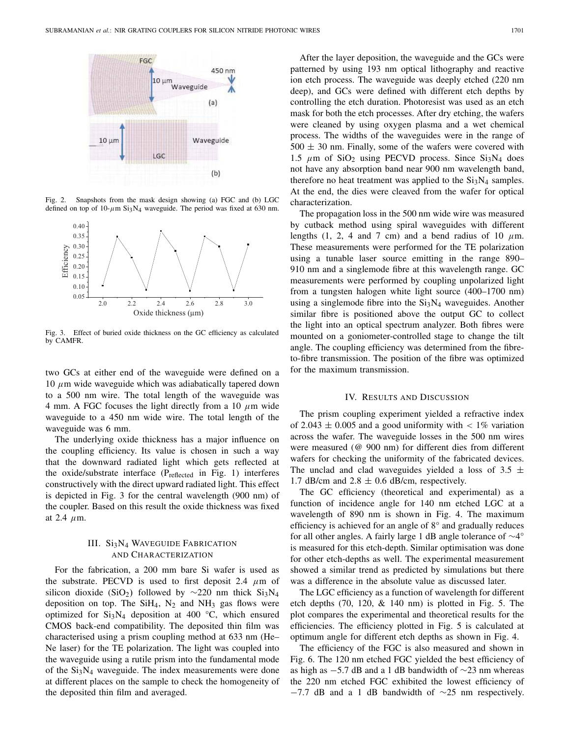

Fig. 2. Snapshots from the mask design showing (a) FGC and (b) LGC defined on top of  $10$ - $\mu$ m Si<sub>3</sub>N<sub>4</sub> waveguide. The period was fixed at 630 nm.



Fig. 3. Effect of buried oxide thickness on the GC efficiency as calculated by CAMFR.

two GCs at either end of the waveguide were defined on a 10  $μ$ m wide waveguide which was adiabatically tapered down to a 500 nm wire. The total length of the waveguide was 4 mm. A FGC focuses the light directly from a 10  $\mu$ m wide waveguide to a 450 nm wide wire. The total length of the waveguide was 6 mm.

The underlying oxide thickness has a major influence on the coupling efficiency. Its value is chosen in such a way that the downward radiated light which gets reflected at the oxide/substrate interface (P<sub>reflected</sub> in Fig. 1) interferes constructively with the direct upward radiated light. This effect is depicted in Fig. 3 for the central wavelength (900 nm) of the coupler. Based on this result the oxide thickness was fixed at 2.4  $\mu$ m.

# III. Si3N<sub>4</sub> WAVEGUIDE FABRICATION AND CHARACTERIZATION

For the fabrication, a 200 mm bare Si wafer is used as the substrate. PECVD is used to first deposit 2.4  $\mu$ m of silicon dioxide (SiO<sub>2</sub>) followed by ∼220 nm thick Si<sub>3</sub>N<sub>4</sub> deposition on top. The  $SiH_4$ ,  $N_2$  and  $NH_3$  gas flows were optimized for  $Si<sub>3</sub>N<sub>4</sub>$  deposition at 400 °C, which ensured CMOS back-end compatibility. The deposited thin film was characterised using a prism coupling method at 633 nm (He– Ne laser) for the TE polarization. The light was coupled into the waveguide using a rutile prism into the fundamental mode of the  $Si<sub>3</sub>N<sub>4</sub>$  waveguide. The index measurements were done at different places on the sample to check the homogeneity of the deposited thin film and averaged.

After the layer deposition, the waveguide and the GCs were patterned by using 193 nm optical lithography and reactive ion etch process. The waveguide was deeply etched (220 nm deep), and GCs were defined with different etch depths by controlling the etch duration. Photoresist was used as an etch mask for both the etch processes. After dry etching, the wafers were cleaned by using oxygen plasma and a wet chemical process. The widths of the waveguides were in the range of  $500 \pm 30$  nm. Finally, some of the wafers were covered with 1.5  $\mu$ m of SiO<sub>2</sub> using PECVD process. Since Si<sub>3</sub>N<sub>4</sub> does not have any absorption band near 900 nm wavelength band, therefore no heat treatment was applied to the  $Si<sub>3</sub>N<sub>4</sub>$  samples. At the end, the dies were cleaved from the wafer for optical characterization.

The propagation loss in the 500 nm wide wire was measured by cutback method using spiral waveguides with different lengths (1, 2, 4 and 7 cm) and a bend radius of 10  $\mu$ m. These measurements were performed for the TE polarization using a tunable laser source emitting in the range 890– 910 nm and a singlemode fibre at this wavelength range. GC measurements were performed by coupling unpolarized light from a tungsten halogen white light source (400–1700 nm) using a singlemode fibre into the  $Si<sub>3</sub>N<sub>4</sub>$  waveguides. Another similar fibre is positioned above the output GC to collect the light into an optical spectrum analyzer. Both fibres were mounted on a goniometer-controlled stage to change the tilt angle. The coupling efficiency was determined from the fibreto-fibre transmission. The position of the fibre was optimized for the maximum transmission.

#### IV. RESULTS AND DISCUSSION

The prism coupling experiment yielded a refractive index of 2.043  $\pm$  0.005 and a good uniformity with  $< 1\%$  variation across the wafer. The waveguide losses in the 500 nm wires were measured (@ 900 nm) for different dies from different wafers for checking the uniformity of the fabricated devices. The unclad and clad waveguides yielded a loss of 3.5  $\pm$ 1.7 dB/cm and  $2.8 \pm 0.6$  dB/cm, respectively.

The GC efficiency (theoretical and experimental) as a function of incidence angle for 140 nm etched LGC at a wavelength of 890 nm is shown in Fig. 4. The maximum efficiency is achieved for an angle of 8° and gradually reduces for all other angles. A fairly large 1 dB angle tolerance of ∼4° is measured for this etch-depth. Similar optimisation was done for other etch-depths as well. The experimental measurement showed a similar trend as predicted by simulations but there was a difference in the absolute value as discussed later.

The LGC efficiency as a function of wavelength for different etch depths (70, 120, & 140 nm) is plotted in Fig. 5. The plot compares the experimental and theoretical results for the efficiencies. The efficiency plotted in Fig. 5 is calculated at optimum angle for different etch depths as shown in Fig. 4.

The efficiency of the FGC is also measured and shown in Fig. 6. The 120 nm etched FGC yielded the best efficiency of as high as −5.7 dB and a 1 dB bandwidth of ∼23 nm whereas the 220 nm etched FGC exhibited the lowest efficiency of  $-7.7$  dB and a 1 dB bandwidth of  $\sim$ 25 nm respectively.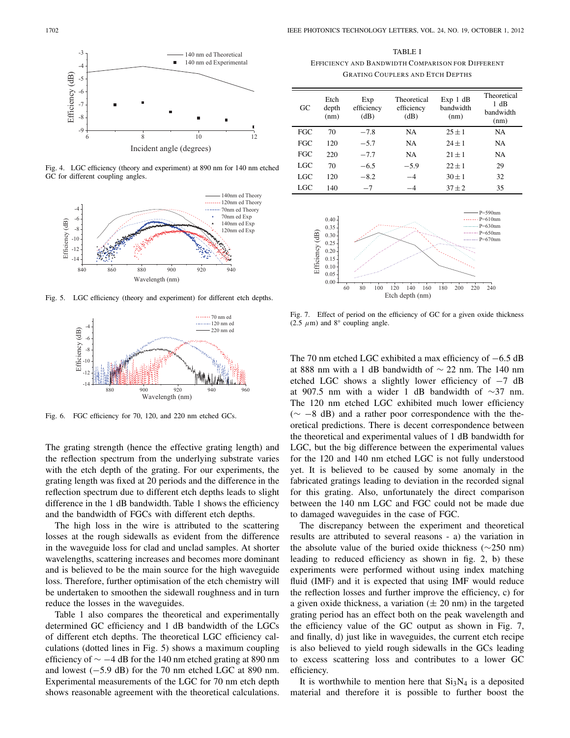

Fig. 4. LGC efficiency (theory and experiment) at 890 nm for 140 nm etched GC for different coupling angles.



Fig. 5. LGC efficiency (theory and experiment) for different etch depths.



Fig. 6. FGC efficiency for 70, 120, and 220 nm etched GCs.

The grating strength (hence the effective grating length) and the reflection spectrum from the underlying substrate varies with the etch depth of the grating. For our experiments, the grating length was fixed at 20 periods and the difference in the reflection spectrum due to different etch depths leads to slight difference in the 1 dB bandwidth. Table 1 shows the efficiency and the bandwidth of FGCs with different etch depths.

The high loss in the wire is attributed to the scattering losses at the rough sidewalls as evident from the difference in the waveguide loss for clad and unclad samples. At shorter wavelengths, scattering increases and becomes more dominant and is believed to be the main source for the high waveguide loss. Therefore, further optimisation of the etch chemistry will be undertaken to smoothen the sidewall roughness and in turn reduce the losses in the waveguides.

Table 1 also compares the theoretical and experimentally determined GC efficiency and 1 dB bandwidth of the LGCs of different etch depths. The theoretical LGC efficiency calculations (dotted lines in Fig. 5) shows a maximum coupling efficiency of  $\sim$  −4 dB for the 140 nm etched grating at 890 nm and lowest (−5.9 dB) for the 70 nm etched LGC at 890 nm. Experimental measurements of the LGC for 70 nm etch depth shows reasonable agreement with the theoretical calculations.

TABLE I EFFICIENCY AND BANDWIDTH COMPARISON FOR DIFFERENT GRATING COUPLERS AND ETCH DEPTHS

| GC  | Etch<br>depth<br>(nm) | Exp<br>efficiency<br>(dB) | Theoretical<br>efficiency<br>(dB) | Exp 1 dB<br>handwidth<br>(nm) | Theoretical<br>1 dB<br>handwidth<br>(nm) |
|-----|-----------------------|---------------------------|-----------------------------------|-------------------------------|------------------------------------------|
| FGC | 70                    | $-7.8$                    | <b>NA</b>                         | $25 + 1$                      | <b>NA</b>                                |
| FGC | 120                   | $-5.7$                    | NA                                | $24 + 1$                      | NA                                       |
| FGC | 220                   | $-7.7$                    | <b>NA</b>                         | $21 + 1$                      | NA                                       |
| LGC | 70                    | $-6.5$                    | $-5.9$                            | $22 + 1$                      | 29                                       |
| LGC | 120                   | $-8.2$                    | $-4$                              | $30 + 1$                      | 32                                       |
| LGC | 140                   | $-7$                      |                                   | $37 + 2$                      | 35                                       |



Fig. 7. Effect of period on the efficiency of GC for a given oxide thickness (2.5  $\mu$ m) and 8° coupling angle.

The 70 nm etched LGC exhibited a max efficiency of −6.5 dB at 888 nm with a 1 dB bandwidth of ∼ 22 nm. The 140 nm etched LGC shows a slightly lower efficiency of −7 dB at 907.5 nm with a wider 1 dB bandwidth of ∼37 nm. The 120 nm etched LGC exhibited much lower efficiency (∼ −8 dB) and a rather poor correspondence with the theoretical predictions. There is decent correspondence between the theoretical and experimental values of 1 dB bandwidth for LGC, but the big difference between the experimental values for the 120 and 140 nm etched LGC is not fully understood yet. It is believed to be caused by some anomaly in the fabricated gratings leading to deviation in the recorded signal for this grating. Also, unfortunately the direct comparison between the 140 nm LGC and FGC could not be made due to damaged waveguides in the case of FGC.

The discrepancy between the experiment and theoretical results are attributed to several reasons - a) the variation in the absolute value of the buried oxide thickness (∼250 nm) leading to reduced efficiency as shown in fig. 2, b) these experiments were performed without using index matching fluid (IMF) and it is expected that using IMF would reduce the reflection losses and further improve the efficiency, c) for a given oxide thickness, a variation  $(\pm 20 \text{ nm})$  in the targeted grating period has an effect both on the peak wavelength and the efficiency value of the GC output as shown in Fig. 7, and finally, d) just like in waveguides, the current etch recipe is also believed to yield rough sidewalls in the GCs leading to excess scattering loss and contributes to a lower GC efficiency.

It is worthwhile to mention here that  $Si<sub>3</sub>N<sub>4</sub>$  is a deposited material and therefore it is possible to further boost the